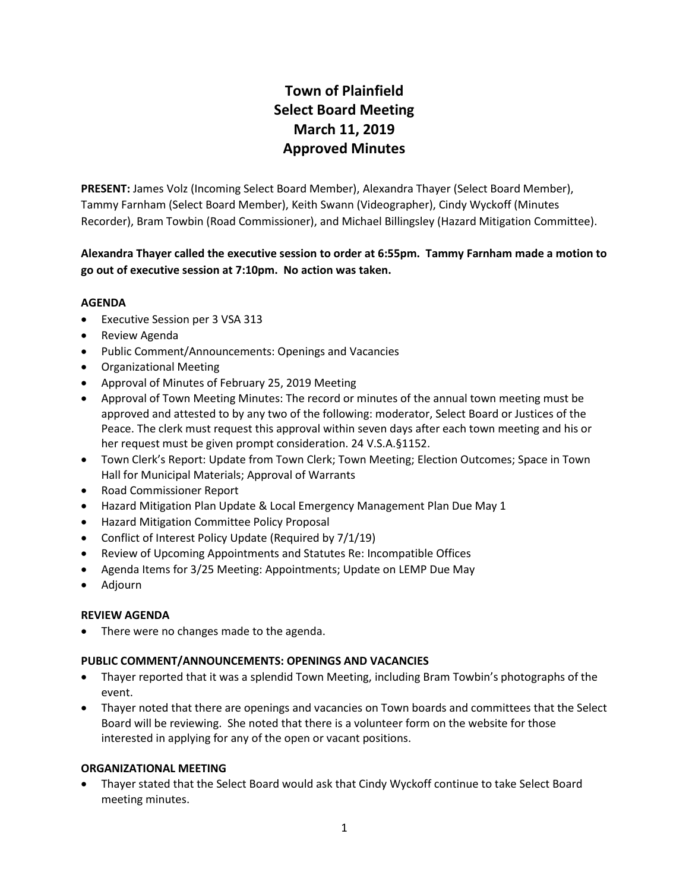# **Town of Plainfield Select Board Meeting March 11, 2019 Approved Minutes**

**PRESENT:** James Volz (Incoming Select Board Member), Alexandra Thayer (Select Board Member), Tammy Farnham (Select Board Member), Keith Swann (Videographer), Cindy Wyckoff (Minutes Recorder), Bram Towbin (Road Commissioner), and Michael Billingsley (Hazard Mitigation Committee).

# **Alexandra Thayer called the executive session to order at 6:55pm. Tammy Farnham made a motion to go out of executive session at 7:10pm. No action was taken.**

## **AGENDA**

- Executive Session per 3 VSA 313
- **•** Review Agenda
- Public Comment/Announcements: Openings and Vacancies
- Organizational Meeting
- Approval of Minutes of February 25, 2019 Meeting
- Approval of Town Meeting Minutes: The record or minutes of the annual town meeting must be approved and attested to by any two of the following: moderator, Select Board or Justices of the Peace. The clerk must request this approval within seven days after each town meeting and his or her request must be given prompt consideration. 24 V.S.A.§1152.
- Town Clerk's Report: Update from Town Clerk; Town Meeting; Election Outcomes; Space in Town Hall for Municipal Materials; Approval of Warrants
- Road Commissioner Report
- Hazard Mitigation Plan Update & Local Emergency Management Plan Due May 1
- Hazard Mitigation Committee Policy Proposal
- Conflict of Interest Policy Update (Required by 7/1/19)
- Review of Upcoming Appointments and Statutes Re: Incompatible Offices
- Agenda Items for 3/25 Meeting: Appointments; Update on LEMP Due May
- Adjourn

# **REVIEW AGENDA**

• There were no changes made to the agenda.

#### **PUBLIC COMMENT/ANNOUNCEMENTS: OPENINGS AND VACANCIES**

- Thayer reported that it was a splendid Town Meeting, including Bram Towbin's photographs of the event.
- Thayer noted that there are openings and vacancies on Town boards and committees that the Select Board will be reviewing. She noted that there is a volunteer form on the website for those interested in applying for any of the open or vacant positions.

#### **ORGANIZATIONAL MEETING**

 Thayer stated that the Select Board would ask that Cindy Wyckoff continue to take Select Board meeting minutes.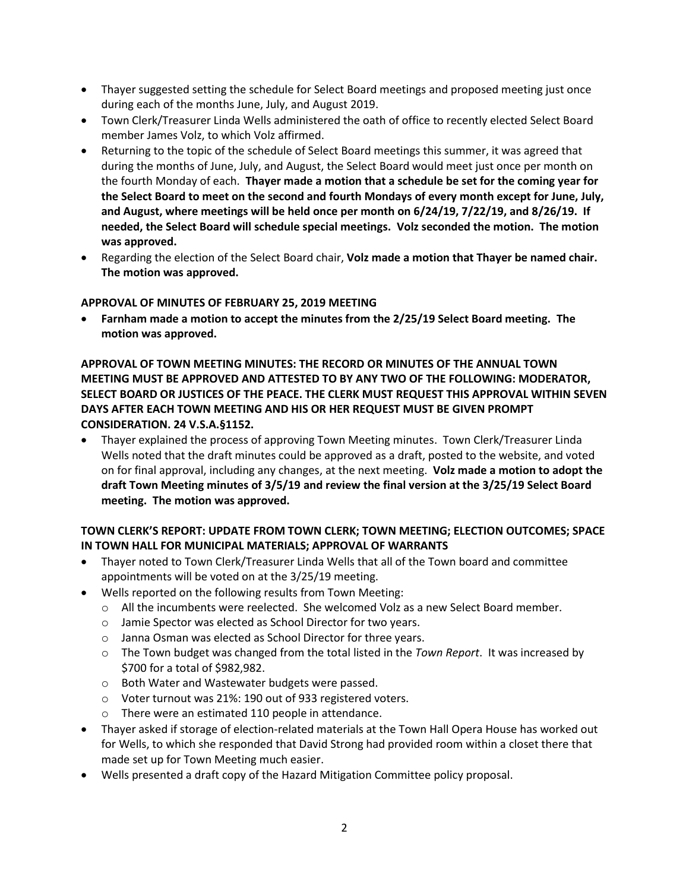- Thayer suggested setting the schedule for Select Board meetings and proposed meeting just once during each of the months June, July, and August 2019.
- Town Clerk/Treasurer Linda Wells administered the oath of office to recently elected Select Board member James Volz, to which Volz affirmed.
- Returning to the topic of the schedule of Select Board meetings this summer, it was agreed that during the months of June, July, and August, the Select Board would meet just once per month on the fourth Monday of each. **Thayer made a motion that a schedule be set for the coming year for the Select Board to meet on the second and fourth Mondays of every month except for June, July, and August, where meetings will be held once per month on 6/24/19, 7/22/19, and 8/26/19. If needed, the Select Board will schedule special meetings. Volz seconded the motion. The motion was approved.**
- Regarding the election of the Select Board chair, **Volz made a motion that Thayer be named chair. The motion was approved.**

## **APPROVAL OF MINUTES OF FEBRUARY 25, 2019 MEETING**

 **Farnham made a motion to accept the minutes from the 2/25/19 Select Board meeting. The motion was approved.**

# **APPROVAL OF TOWN MEETING MINUTES: THE RECORD OR MINUTES OF THE ANNUAL TOWN MEETING MUST BE APPROVED AND ATTESTED TO BY ANY TWO OF THE FOLLOWING: MODERATOR, SELECT BOARD OR JUSTICES OF THE PEACE. THE CLERK MUST REQUEST THIS APPROVAL WITHIN SEVEN DAYS AFTER EACH TOWN MEETING AND HIS OR HER REQUEST MUST BE GIVEN PROMPT CONSIDERATION. 24 V.S.A.§1152.**

 Thayer explained the process of approving Town Meeting minutes. Town Clerk/Treasurer Linda Wells noted that the draft minutes could be approved as a draft, posted to the website, and voted on for final approval, including any changes, at the next meeting. **Volz made a motion to adopt the draft Town Meeting minutes of 3/5/19 and review the final version at the 3/25/19 Select Board meeting. The motion was approved.**

# **TOWN CLERK'S REPORT: UPDATE FROM TOWN CLERK; TOWN MEETING; ELECTION OUTCOMES; SPACE IN TOWN HALL FOR MUNICIPAL MATERIALS; APPROVAL OF WARRANTS**

- Thayer noted to Town Clerk/Treasurer Linda Wells that all of the Town board and committee appointments will be voted on at the 3/25/19 meeting.
- Wells reported on the following results from Town Meeting:
	- $\circ$  All the incumbents were reelected. She welcomed Volz as a new Select Board member.
	- o Jamie Spector was elected as School Director for two years.
	- o Janna Osman was elected as School Director for three years.
	- o The Town budget was changed from the total listed in the *Town Report*. It was increased by \$700 for a total of \$982,982.
	- o Both Water and Wastewater budgets were passed.
	- o Voter turnout was 21%: 190 out of 933 registered voters.
	- o There were an estimated 110 people in attendance.
- Thayer asked if storage of election-related materials at the Town Hall Opera House has worked out for Wells, to which she responded that David Strong had provided room within a closet there that made set up for Town Meeting much easier.
- Wells presented a draft copy of the Hazard Mitigation Committee policy proposal.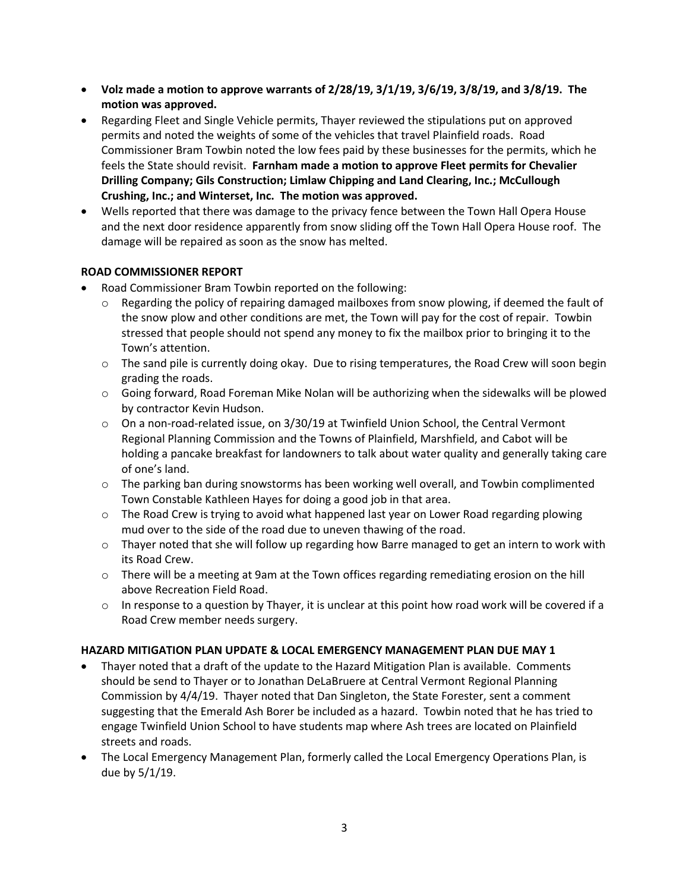- Volz made a motion to approve warrants of 2/28/19, 3/1/19, 3/6/19, 3/8/19, and 3/8/19. The **motion was approved.**
- Regarding Fleet and Single Vehicle permits, Thayer reviewed the stipulations put on approved permits and noted the weights of some of the vehicles that travel Plainfield roads. Road Commissioner Bram Towbin noted the low fees paid by these businesses for the permits, which he feels the State should revisit. **Farnham made a motion to approve Fleet permits for Chevalier Drilling Company; Gils Construction; Limlaw Chipping and Land Clearing, Inc.; McCullough Crushing, Inc.; and Winterset, Inc. The motion was approved.**
- Wells reported that there was damage to the privacy fence between the Town Hall Opera House and the next door residence apparently from snow sliding off the Town Hall Opera House roof. The damage will be repaired as soon as the snow has melted.

# **ROAD COMMISSIONER REPORT**

- Road Commissioner Bram Towbin reported on the following:
	- $\circ$  Regarding the policy of repairing damaged mailboxes from snow plowing, if deemed the fault of the snow plow and other conditions are met, the Town will pay for the cost of repair. Towbin stressed that people should not spend any money to fix the mailbox prior to bringing it to the Town's attention.
	- $\circ$  The sand pile is currently doing okay. Due to rising temperatures, the Road Crew will soon begin grading the roads.
	- $\circ$  Going forward, Road Foreman Mike Nolan will be authorizing when the sidewalks will be plowed by contractor Kevin Hudson.
	- $\circ$  On a non-road-related issue, on 3/30/19 at Twinfield Union School, the Central Vermont Regional Planning Commission and the Towns of Plainfield, Marshfield, and Cabot will be holding a pancake breakfast for landowners to talk about water quality and generally taking care of one's land.
	- $\circ$  The parking ban during snowstorms has been working well overall, and Towbin complimented Town Constable Kathleen Hayes for doing a good job in that area.
	- $\circ$  The Road Crew is trying to avoid what happened last year on Lower Road regarding plowing mud over to the side of the road due to uneven thawing of the road.
	- $\circ$  Thayer noted that she will follow up regarding how Barre managed to get an intern to work with its Road Crew.
	- $\circ$  There will be a meeting at 9am at the Town offices regarding remediating erosion on the hill above Recreation Field Road.
	- $\circ$  In response to a question by Thayer, it is unclear at this point how road work will be covered if a Road Crew member needs surgery.

#### **HAZARD MITIGATION PLAN UPDATE & LOCAL EMERGENCY MANAGEMENT PLAN DUE MAY 1**

- Thayer noted that a draft of the update to the Hazard Mitigation Plan is available. Comments should be send to Thayer or to Jonathan DeLaBruere at Central Vermont Regional Planning Commission by 4/4/19. Thayer noted that Dan Singleton, the State Forester, sent a comment suggesting that the Emerald Ash Borer be included as a hazard. Towbin noted that he has tried to engage Twinfield Union School to have students map where Ash trees are located on Plainfield streets and roads.
- The Local Emergency Management Plan, formerly called the Local Emergency Operations Plan, is due by 5/1/19.